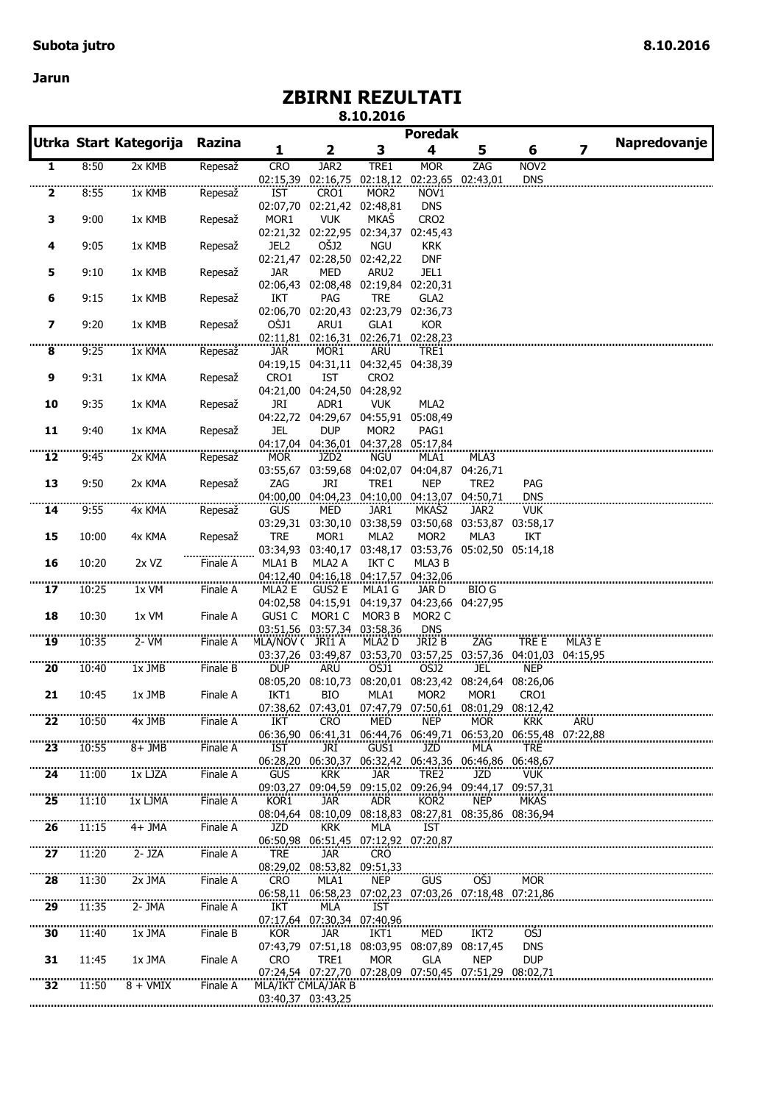**Jarun**

## **ZBIRNI REZULTATI**

**8.10.2016**

|                             |       | Utrka Start Kategorija | Razina                  |                        |                                             |                   | <b>Poredak</b>                                                    |                            |                          | Napredovanje            |  |
|-----------------------------|-------|------------------------|-------------------------|------------------------|---------------------------------------------|-------------------|-------------------------------------------------------------------|----------------------------|--------------------------|-------------------------|--|
|                             |       |                        |                         | 1                      | 2                                           | 3                 | 4                                                                 | 5                          | 6                        | $\overline{\mathbf{z}}$ |  |
| 1                           | 8:50  | 2x KMB                 | Repesaž                 | <b>CRO</b>             | JAR <sub>2</sub>                            | TRE1              | <b>MOR</b>                                                        | ZAG                        | NOV <sub>2</sub>         |                         |  |
|                             |       |                        | <u>անատատատանու</u>     | 02:15,39               | 02:16,75                                    | 02:18,12          |                                                                   | 02:23,65 02:43,01          | <b>DNS</b>               |                         |  |
| $\overline{\mathbf{2}}$     | 8:55  | $1x$ KMB               | Repesaž                 | <b>IST</b>             | CRO1                                        | MOR <sub>2</sub>  | NOV1                                                              |                            |                          |                         |  |
|                             |       |                        |                         | 02:07,70               | 02:21,42 02:48,81                           |                   | <b>DNS</b>                                                        |                            |                          |                         |  |
| 3                           | 9:00  | 1x KMB                 | Repesaž                 | MOR1                   | <b>VUK</b>                                  | MKAŠ              | CRO <sub>2</sub>                                                  |                            |                          |                         |  |
| 4                           | 9:05  | 1x KMB                 | Repesaž                 | JEL <sub>2</sub>       | 02:21,32 02:22,95 02:34,37<br>OŠJ2          | <b>NGU</b>        | 02:45,43<br><b>KRK</b>                                            |                            |                          |                         |  |
|                             |       |                        |                         | 02:21,47               | 02:28,50 02:42,22                           |                   | <b>DNF</b>                                                        |                            |                          |                         |  |
| 5                           | 9:10  | 1x KMB                 | Repesaž                 | <b>JAR</b>             | <b>MED</b>                                  | ARU2              | JEL1                                                              |                            |                          |                         |  |
|                             |       |                        |                         |                        | 02:06,43 02:08,48 02:19,84 02:20,31         |                   |                                                                   |                            |                          |                         |  |
| 6                           | 9:15  | 1x KMB                 | Repesaž                 | IKT                    | PAG                                         | <b>TRE</b>        | GLA <sub>2</sub>                                                  |                            |                          |                         |  |
|                             |       |                        |                         |                        | 02:06,70 02:20,43 02:23,79 02:36,73         |                   |                                                                   |                            |                          |                         |  |
| 7                           | 9:20  | 1x KMB                 | Repesaž                 | OŠJ1                   | ARU1                                        | GLA1              | <b>KOR</b>                                                        |                            |                          |                         |  |
| ,,,,,,,                     |       |                        |                         |                        | 02:11,81 02:16,31 02:26,71 02:28,23         |                   |                                                                   |                            |                          |                         |  |
| 8                           | 9:25  | 1x KMA                 | Repesaž                 | <b>JAR</b>             | MOR1<br>04:19,15 04:31,11 04:32,45 04:38,39 | ARU               | TRE1                                                              |                            |                          |                         |  |
| 9                           | 9:31  | 1x KMA                 | Repesaž                 | CRO1                   | <b>IST</b>                                  | CRO <sub>2</sub>  |                                                                   |                            |                          |                         |  |
|                             |       |                        |                         |                        | 04:21,00 04:24,50 04:28,92                  |                   |                                                                   |                            |                          |                         |  |
| 10                          | 9:35  | 1x KMA                 | Repesaž                 | JRI                    | ADR1                                        | <b>VUK</b>        | MLA2                                                              |                            |                          |                         |  |
|                             |       |                        |                         |                        | 04:22,72 04:29,67 04:55,91 05:08,49         |                   |                                                                   |                            |                          |                         |  |
| 11                          | 9:40  | 1x KMA                 | Repesaž                 | <b>JEL</b>             | <b>DUP</b>                                  | MOR <sub>2</sub>  | PAG1                                                              |                            |                          |                         |  |
|                             |       |                        |                         |                        | 04:17,04 04:36,01 04:37,28 05:17,84         |                   |                                                                   |                            |                          |                         |  |
| 12                          | 9:45  | 2x KMA                 | Repesaž                 | <b>MOR</b>             | JZD <sub>2</sub>                            | <b>NGU</b>        | MLA1                                                              | MLA3                       |                          |                         |  |
|                             |       |                        |                         |                        | 03:55,67 03:59,68 04:02,07                  |                   | 04:04,87                                                          | 04:26,71                   |                          |                         |  |
| 13                          | 9:50  | 2x KMA                 | Repesaž                 | ZAG                    | <b>JRI</b>                                  | TRE1              | <b>NEP</b>                                                        | TRE2                       | PAG                      |                         |  |
| ,,,,,,,,,,,,,<br>14         | 9:55  | 4x KMA                 | ,,,,,,,,,,,,<br>Repesaž | <b>GUS</b>             | MED                                         | JAR1              | 04:00,00 04:04,23 04:10,00 04:13,07 04:50,71<br>MKAŠ <sub>2</sub> | JAR2                       | <b>DNS</b><br><b>VUK</b> |                         |  |
|                             |       |                        |                         |                        | 03:29,31 03:30,10 03:38,59                  |                   | 03:50,68                                                          | 03:53,87                   | 03:58,17                 |                         |  |
| 15                          | 10:00 | 4x KMA                 | Repesaž                 | <b>TRE</b>             | MOR1                                        | MLA2              | MOR <sub>2</sub>                                                  | MLA3                       | IKT                      |                         |  |
|                             |       |                        |                         |                        | 03:34,93 03:40,17 03:48,17                  |                   |                                                                   | 03:53,76 05:02,50 05:14,18 |                          |                         |  |
| 16                          | 10:20 | 2x VZ                  | <br>Finale A            | MLA1B                  | MLA2 A                                      | <b>IKT C</b>      | MLA3 B                                                            |                            |                          |                         |  |
|                             |       |                        |                         | 04:12,40               |                                             | 04:16,18 04:17,57 | 04:32,06                                                          |                            |                          |                         |  |
| 17                          | 10:25 | 1x VM                  | Finale A                | MLA2 E                 | <b>GUS2 E</b>                               | MLA1 G            | JAR D                                                             | <b>BIO G</b>               |                          |                         |  |
|                             |       |                        |                         | 04:02,58               |                                             | 04:15,91 04:19,37 | 04:23,66                                                          | 04:27,95                   |                          |                         |  |
| 18                          | 10:30 | 1x VM                  | Finale A                | GUS1 C                 | MOR1 C<br>03:51,56 03:57,34 03:58,36        | MOR3 B            | MOR <sub>2</sub> C<br>DNS                                         |                            |                          |                         |  |
| ,,,,,,,,,,,,,,<br>19        | 10:35 | 2- VM                  | Finale A                | MLA/NOV ( JRI1 A       |                                             | MLA2 D            | JRI2 B                                                            | ZAG                        | tre e                    | MLA3 E                  |  |
|                             |       |                        |                         |                        |                                             |                   | 03:37,26 03:49,87 03:53,70 03:57,25 03:57,36 04:01,03 04:15,95    |                            |                          |                         |  |
| <b>00000000000000</b><br>20 | 10:40 | 1x JMB                 | Finale B                | <b>DUP</b>             | <b>ARU</b>                                  | OŠJ1              | OŠJ2                                                              | <b>JEL</b>                 | <b>NEP</b>               |                         |  |
|                             |       |                        |                         | 08:05,20               | 08:10,73                                    | 08:20,01          |                                                                   | 08:23,42 08:24,64          | 08:26,06                 |                         |  |
| 21                          | 10:45 | 1x JMB                 | Finale A                | IKT1                   | BIO                                         | MLA1              | MOR <sub>2</sub>                                                  | MOR <sub>1</sub>           | CRO1                     |                         |  |
|                             |       |                        |                         |                        |                                             |                   | 07:38,62 07:43,01 07:47,79 07:50,61 08:01,29                      |                            | 08:12,42                 |                         |  |
| 22                          | 10:50 | 4x JMB                 | Finale A                | IKT                    | <b>CRO</b>                                  | <b>MED</b>        | <b>NEP</b>                                                        | <b>MOR</b>                 | <b>KRK</b>               | ARU                     |  |
| 23                          | 10:55 | $8+JMB$                | Finale A                | 06:36,90<br><b>IST</b> | 06:41,31<br>JRI                             | 06:44.76<br>GUS1  | 06:49,71<br>JZD                                                   | 06:53,20<br><b>MLA</b>     | <b>TRE</b>               | 06:55,48 07:22,88       |  |
|                             |       |                        |                         |                        | 06:28,20 06:30,37                           |                   | 06:32,42 06:43,36 06:46,86 06:48,67                               |                            |                          |                         |  |
| <br>24                      | 11:00 | 1x LJZA                | Finale A                | GUS                    | <b>KRK</b>                                  | jar               | TRE2                                                              | JZD                        | <b>VUK</b>               |                         |  |
|                             |       |                        |                         | 09:03,27               |                                             |                   | 09:04,59 09:15,02 09:26,94 09:44,17 09:57,31                      |                            |                          |                         |  |
| 25                          | 11:10 | 1x LJMA                | Finale A                | KOR1                   | <b>JAR</b>                                  | <b>ADR</b>        | KOR2                                                              | <b>NEP</b>                 | MKAS                     |                         |  |
|                             |       |                        |                         |                        |                                             |                   | 08:04,64 08:10,09 08:18,83 08:27,81 08:35,86 08:36,94             |                            |                          |                         |  |
| 26                          | 11:15 | 4+ JMA                 | Finale A                | JZD                    | <b>KRK</b>                                  | MLA               | IST                                                               |                            |                          |                         |  |
|                             |       |                        |                         |                        | 06:50,98 06:51,45 07:12,92 07:20,87         |                   |                                                                   |                            |                          |                         |  |
| 27                          | 11:20 | 2- JZA                 | Finale A                | TRE                    | jar                                         | <b>CRO</b>        |                                                                   |                            |                          |                         |  |
|                             | 11:30 | 2x JMA                 |                         |                        | 08:29,02 08:53,82 09:51,33                  |                   |                                                                   |                            |                          |                         |  |
| 28                          |       |                        | Finale A                | <b>CRO</b>             | MLA1                                        | <b>NEP</b>        | GUS<br>06:58,11 06:58,23 07:02,23 07:03,26 07:18,48 07:21,86      | OSJ                        | <b>MOR</b>               |                         |  |
| ,,,,,,,,,,,,,,,,,<br>29     | 11:35 | 2- JMA                 | Finale A                | IKT                    | MLA                                         | IST               |                                                                   |                            |                          |                         |  |
|                             |       |                        |                         |                        | 07:17,64 07:30,34 07:40,96                  |                   |                                                                   |                            |                          |                         |  |
| $\overline{\mathbf{30}}$    | 11:40 | 1x JMA                 | Finale B                | <b>KOR</b>             | jar                                         | IKT1              | MED                                                               | IKT <sub>2</sub>           | OŠJ                      |                         |  |
|                             |       |                        |                         |                        |                                             |                   | 07:43,79 07:51,18 08:03,95 08:07,89 08:17,45                      |                            | <b>DNS</b>               |                         |  |
| 31                          | 11:45 | 1x JMA                 | Finale A                | <b>CRO</b>             | TRE1                                        | <b>MOR</b>        | <b>GLA</b>                                                        | <b>NEP</b>                 | <b>DUP</b>               |                         |  |
|                             |       |                        |                         |                        |                                             |                   | 07:24,54 07:27,70 07:28,09 07:50,45 07:51,29 08:02,71             |                            |                          |                         |  |
| $\overline{32}$             | 11:50 | $8 + VMIX$             | Finale A                |                        | MLA/IKT CMLA/JAR B                          |                   |                                                                   |                            |                          |                         |  |
|                             |       |                        |                         |                        | 03:40,37 03:43,25                           |                   |                                                                   |                            |                          |                         |  |